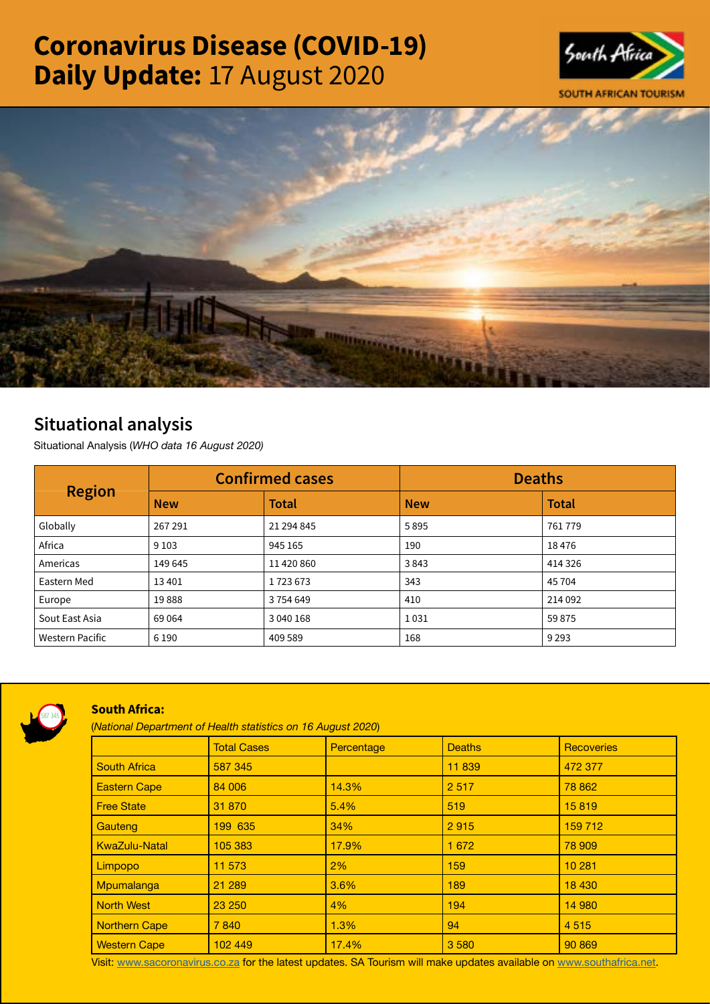# Coronavirus Disease (COVID-19) Daily Update: 17 August 2020





## Situational analysis

Situational Analysis (*WHO data 16 August 2020)*

| <b>Region</b>          | <b>Confirmed cases</b> |              | <b>Deaths</b> |              |
|------------------------|------------------------|--------------|---------------|--------------|
|                        | <b>New</b>             | <b>Total</b> | <b>New</b>    | <b>Total</b> |
| Globally               | 267 291                | 21 294 845   | 5895          | 761779       |
| Africa                 | 9 1 0 3                | 945 165      | 190           | 18476        |
| Americas               | 149 645                | 11 420 860   | 3843          | 414 326      |
| Eastern Med            | 13401                  | 1723673      | 343           | 45 704       |
| Europe                 | 19888                  | 3754649      | 410           | 214 092      |
| Sout East Asia         | 69 0 64                | 3 040 168    | 1031          | 59875        |
| <b>Western Pacific</b> | 6 1 9 0                | 409 589      | 168           | 9 2 9 3      |



### South Africa:

(*National Department of Health statistics on 16 August 2020*)

|                      | <b>Total Cases</b> | Percentage | <b>Deaths</b> | <b>Recoveries</b> |
|----------------------|--------------------|------------|---------------|-------------------|
| <b>South Africa</b>  | 587 345            |            | 11839         | 472 377           |
| <b>Eastern Cape</b>  | 84 006             | 14.3%      | 2517          | 78 862            |
| <b>Free State</b>    | 31 870             | 5.4%       | 519           | 15819             |
| Gauteng              | 199 635            | 34%        | 2915          | 159 712           |
| <b>KwaZulu-Natal</b> | 105 383            | 17.9%      | 1 6 7 2       | 78 909            |
| Limpopo              | 11 573             | $2\%$      | 159           | 10 281            |
| Mpumalanga           | 21 289             | 3.6%       | 189           | 18 4 30           |
| <b>North West</b>    | 23 250             | 4%         | 194           | 14 980            |
| <b>Northern Cape</b> | 7840               | 1.3%       | 94            | 4515              |
| <b>Western Cape</b>  | 102 449            | 17.4%      | 3580          | 90 869            |

Visit: [www.sacoronavirus.co.za](http://www.sacoronavirus.co.za) for the latest updates. SA Tourism will make updates available on [www.southafrica.net.](http://www.southafrica.net)